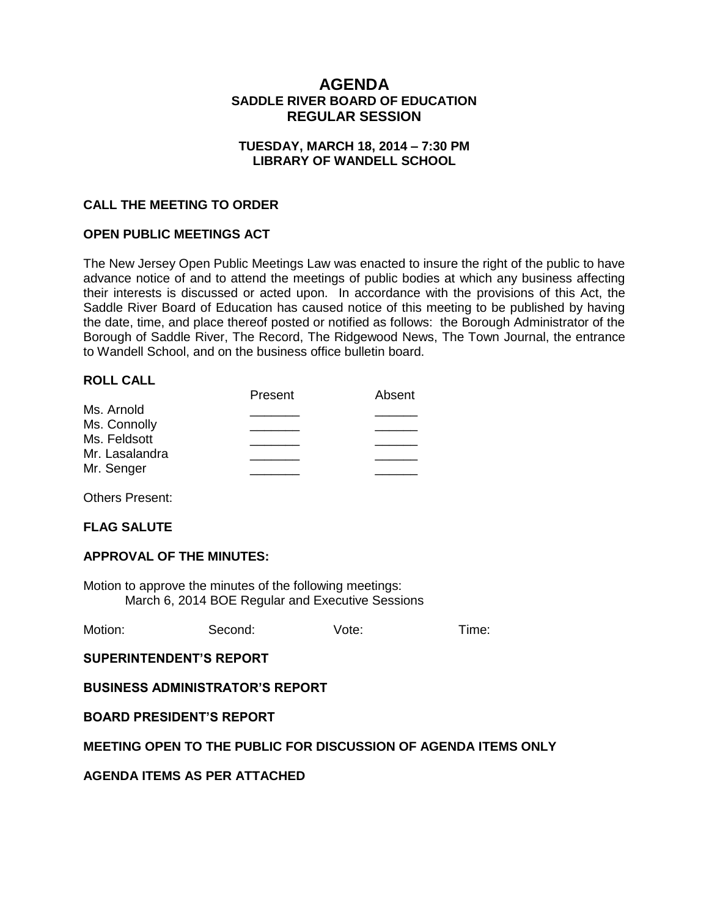# **AGENDA SADDLE RIVER BOARD OF EDUCATION REGULAR SESSION**

## **TUESDAY, MARCH 18, 2014 – 7:30 PM LIBRARY OF WANDELL SCHOOL**

## **CALL THE MEETING TO ORDER**

### **OPEN PUBLIC MEETINGS ACT**

The New Jersey Open Public Meetings Law was enacted to insure the right of the public to have advance notice of and to attend the meetings of public bodies at which any business affecting their interests is discussed or acted upon. In accordance with the provisions of this Act, the Saddle River Board of Education has caused notice of this meeting to be published by having the date, time, and place thereof posted or notified as follows: the Borough Administrator of the Borough of Saddle River, The Record, The Ridgewood News, The Town Journal, the entrance to Wandell School, and on the business office bulletin board.

### **ROLL CALL**

|                | Present | Absent |
|----------------|---------|--------|
| Ms. Arnold     |         |        |
| Ms. Connolly   |         |        |
| Ms. Feldsott   |         |        |
| Mr. Lasalandra |         |        |
| Mr. Senger     |         |        |
|                |         |        |

Others Present:

### **FLAG SALUTE**

### **APPROVAL OF THE MINUTES:**

Motion to approve the minutes of the following meetings: March 6, 2014 BOE Regular and Executive Sessions

| Motion:<br>Vote:<br>Second: | Time: |
|-----------------------------|-------|
|-----------------------------|-------|

**SUPERINTENDENT'S REPORT**

**BUSINESS ADMINISTRATOR'S REPORT**

**BOARD PRESIDENT'S REPORT**

### **MEETING OPEN TO THE PUBLIC FOR DISCUSSION OF AGENDA ITEMS ONLY**

**AGENDA ITEMS AS PER ATTACHED**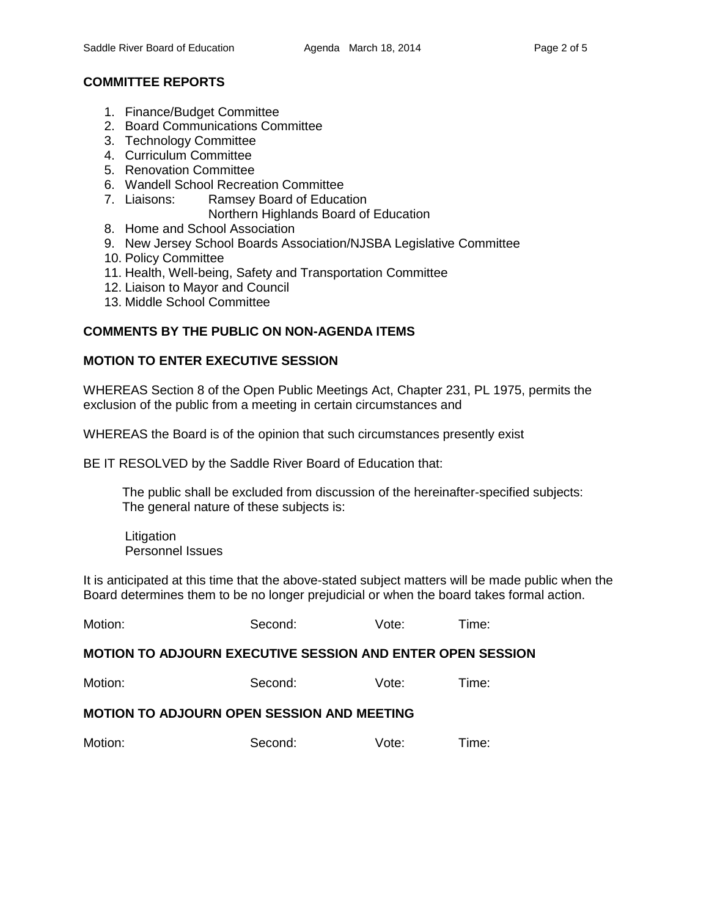# **COMMITTEE REPORTS**

- 1. Finance/Budget Committee
- 2. Board Communications Committee
- 3. Technology Committee
- 4. Curriculum Committee
- 5. Renovation Committee
- 6. Wandell School Recreation Committee
- 7. Liaisons: Ramsey Board of Education
	- Northern Highlands Board of Education
- 8. Home and School Association
- 9. New Jersey School Boards Association/NJSBA Legislative Committee
- 10. Policy Committee
- 11. Health, Well-being, Safety and Transportation Committee
- 12. Liaison to Mayor and Council
- 13. Middle School Committee

# **COMMENTS BY THE PUBLIC ON NON-AGENDA ITEMS**

# **MOTION TO ENTER EXECUTIVE SESSION**

WHEREAS Section 8 of the Open Public Meetings Act, Chapter 231, PL 1975, permits the exclusion of the public from a meeting in certain circumstances and

WHEREAS the Board is of the opinion that such circumstances presently exist

BE IT RESOLVED by the Saddle River Board of Education that:

 The public shall be excluded from discussion of the hereinafter-specified subjects: The general nature of these subjects is:

Litigation Personnel Issues

It is anticipated at this time that the above-stated subject matters will be made public when the Board determines them to be no longer prejudicial or when the board takes formal action.

| Motion: | Second: | Vote: | Time: |
|---------|---------|-------|-------|
|         |         |       |       |

# **MOTION TO ADJOURN EXECUTIVE SESSION AND ENTER OPEN SESSION**

Motion: Second: Vote: Time:

# **MOTION TO ADJOURN OPEN SESSION AND MEETING**

Motion: Second: Vote: Time: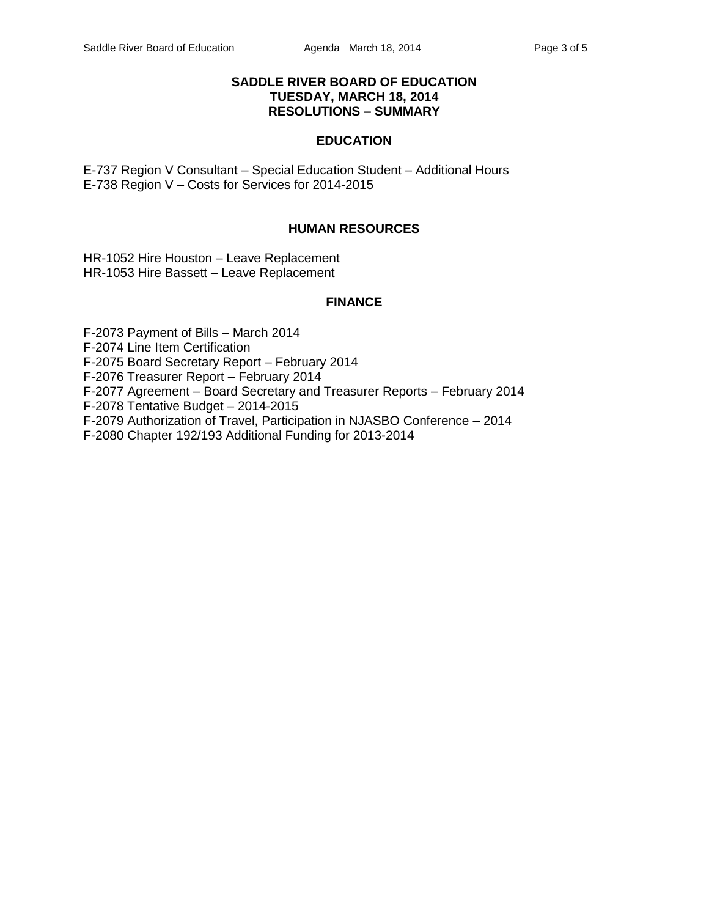## **SADDLE RIVER BOARD OF EDUCATION TUESDAY, MARCH 18, 2014 RESOLUTIONS – SUMMARY**

### **EDUCATION**

E-737 Region V Consultant – Special Education Student – Additional Hours E-738 Region V – Costs for Services for 2014-2015

### **HUMAN RESOURCES**

HR-1052 Hire Houston – Leave Replacement HR-1053 Hire Bassett – Leave Replacement

### **FINANCE**

F-2073 Payment of Bills – March 2014 F-2074 Line Item Certification F-2075 Board Secretary Report – February 2014 F-2076 Treasurer Report – February 2014 F-2077 Agreement – Board Secretary and Treasurer Reports – February 2014 F-2078 Tentative Budget – 2014-2015 F-2079 Authorization of Travel, Participation in NJASBO Conference – 2014 F-2080 Chapter 192/193 Additional Funding for 2013-2014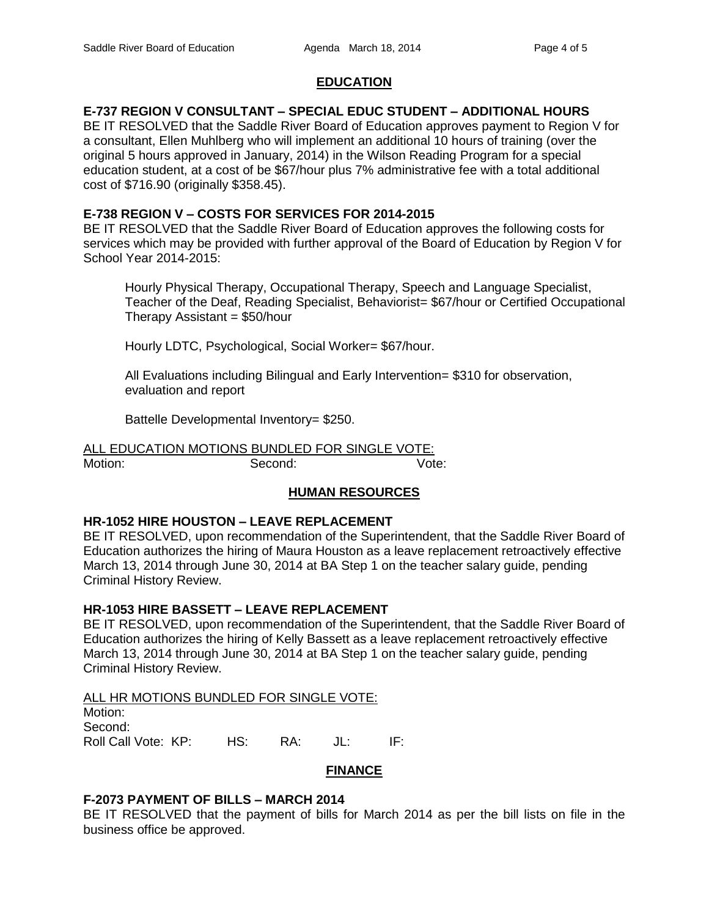# **EDUCATION**

# **E-737 REGION V CONSULTANT – SPECIAL EDUC STUDENT – ADDITIONAL HOURS**

BE IT RESOLVED that the Saddle River Board of Education approves payment to Region V for a consultant, Ellen Muhlberg who will implement an additional 10 hours of training (over the original 5 hours approved in January, 2014) in the Wilson Reading Program for a special education student, at a cost of be \$67/hour plus 7% administrative fee with a total additional cost of \$716.90 (originally \$358.45).

# **E-738 REGION V – COSTS FOR SERVICES FOR 2014-2015**

BE IT RESOLVED that the Saddle River Board of Education approves the following costs for services which may be provided with further approval of the Board of Education by Region V for School Year 2014-2015:

Hourly Physical Therapy, Occupational Therapy, Speech and Language Specialist, Teacher of the Deaf, Reading Specialist, Behaviorist= \$67/hour or Certified Occupational Therapy Assistant  $=$  \$50/hour

Hourly LDTC, Psychological, Social Worker= \$67/hour.

All Evaluations including Bilingual and Early Intervention= \$310 for observation, evaluation and report

Battelle Developmental Inventory= \$250.

ALL EDUCATION MOTIONS BUNDLED FOR SINGLE VOTE: Motion: Second: Second: Vote:

# **HUMAN RESOURCES**

# **HR-1052 HIRE HOUSTON – LEAVE REPLACEMENT**

BE IT RESOLVED, upon recommendation of the Superintendent, that the Saddle River Board of Education authorizes the hiring of Maura Houston as a leave replacement retroactively effective March 13, 2014 through June 30, 2014 at BA Step 1 on the teacher salary guide, pending Criminal History Review.

# **HR-1053 HIRE BASSETT – LEAVE REPLACEMENT**

BE IT RESOLVED, upon recommendation of the Superintendent, that the Saddle River Board of Education authorizes the hiring of Kelly Bassett as a leave replacement retroactively effective March 13, 2014 through June 30, 2014 at BA Step 1 on the teacher salary guide, pending Criminal History Review.

### ALL HR MOTIONS BUNDLED FOR SINGLE VOTE:

| Motion:             |     |     |     |        |
|---------------------|-----|-----|-----|--------|
| Second:             |     |     |     |        |
| Roll Call Vote: KP: | HS: | RA: | JL: | - IF : |

### **FINANCE**

# **F-2073 PAYMENT OF BILLS – MARCH 2014**

BE IT RESOLVED that the payment of bills for March 2014 as per the bill lists on file in the business office be approved.